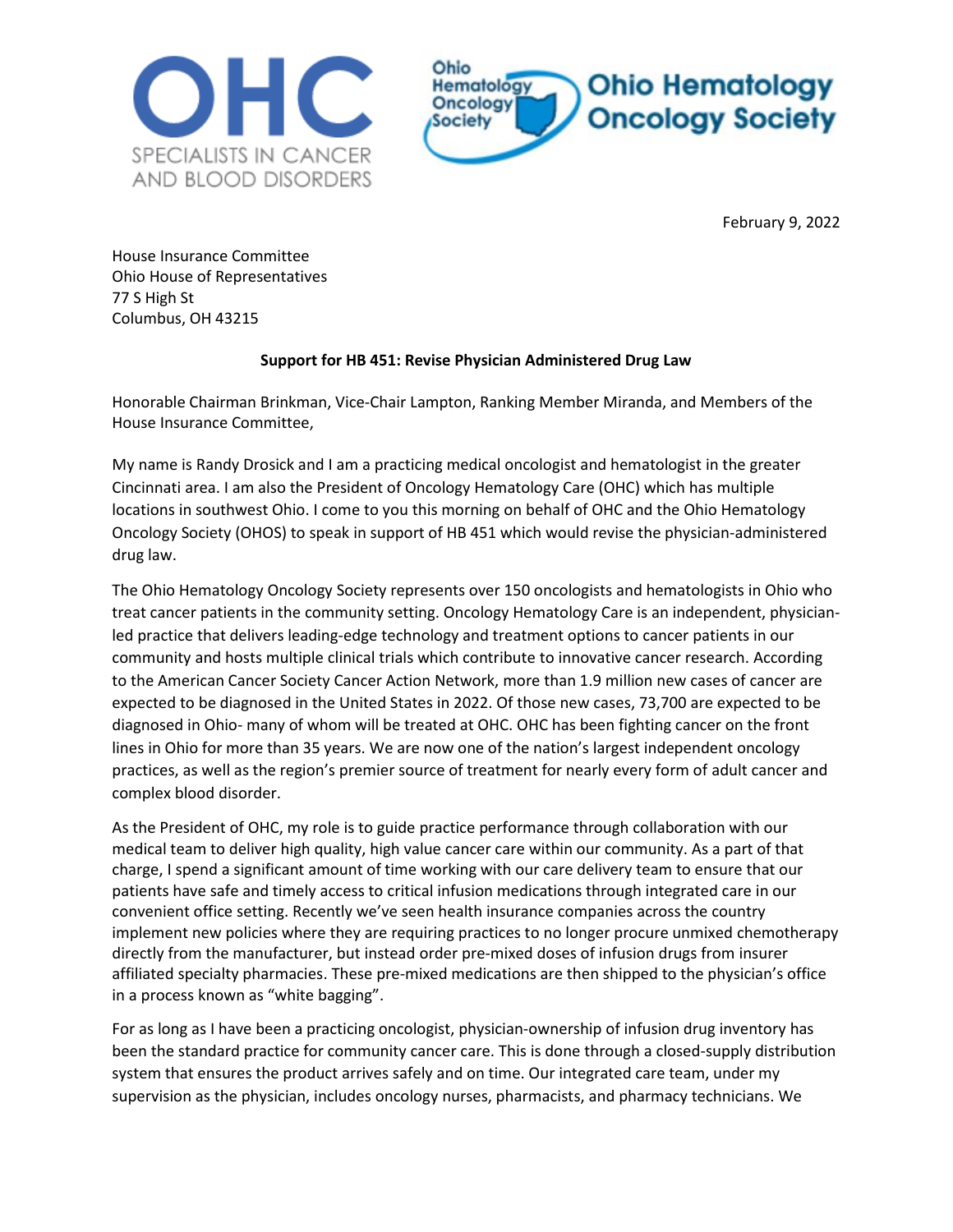



February 9, 2022

House Insurance Committee Ohio House of Representatives 77 S High St Columbus, OH 43215

## **Support for HB 451: Revise Physician Administered Drug Law**

Honorable Chairman Brinkman, Vice-Chair Lampton, Ranking Member Miranda, and Members of the House Insurance Committee,

My name is Randy Drosick and I am a practicing medical oncologist and hematologist in the greater Cincinnati area. I am also the President of Oncology Hematology Care (OHC) which has multiple locations in southwest Ohio. I come to you this morning on behalf of OHC and the Ohio Hematology Oncology Society (OHOS) to speak in support of HB 451 which would revise the physician-administered drug law.

The Ohio Hematology Oncology Society represents over 150 oncologists and hematologists in Ohio who treat cancer patients in the community setting. Oncology Hematology Care is an independent, physicianled practice that delivers leading-edge technology and treatment options to cancer patients in our community and hosts multiple clinical trials which contribute to innovative cancer research. According to the American Cancer Society Cancer Action Network, more than 1.9 million new cases of cancer are expected to be diagnosed in the United States in 2022. Of those new cases, 73,700 are expected to be diagnosed in Ohio- many of whom will be treated at OHC. OHC has been fighting cancer on the front lines in Ohio for more than 35 years. We are now one of the nation's largest independent oncology practices, as well as the region's premier source of treatment for nearly every form of adult cancer and complex blood disorder.

As the President of OHC, my role is to guide practice performance through collaboration with our medical team to deliver high quality, high value cancer care within our community. As a part of that charge, I spend a significant amount of time working with our care delivery team to ensure that our patients have safe and timely access to critical infusion medications through integrated care in our convenient office setting. Recently we've seen health insurance companies across the country implement new policies where they are requiring practices to no longer procure unmixed chemotherapy directly from the manufacturer, but instead order pre-mixed doses of infusion drugs from insurer affiliated specialty pharmacies. These pre-mixed medications are then shipped to the physician's office in a process known as "white bagging".

For as long as I have been a practicing oncologist, physician-ownership of infusion drug inventory has been the standard practice for community cancer care. This is done through a closed-supply distribution system that ensures the product arrives safely and on time. Our integrated care team, under my supervision as the physician, includes oncology nurses, pharmacists, and pharmacy technicians. We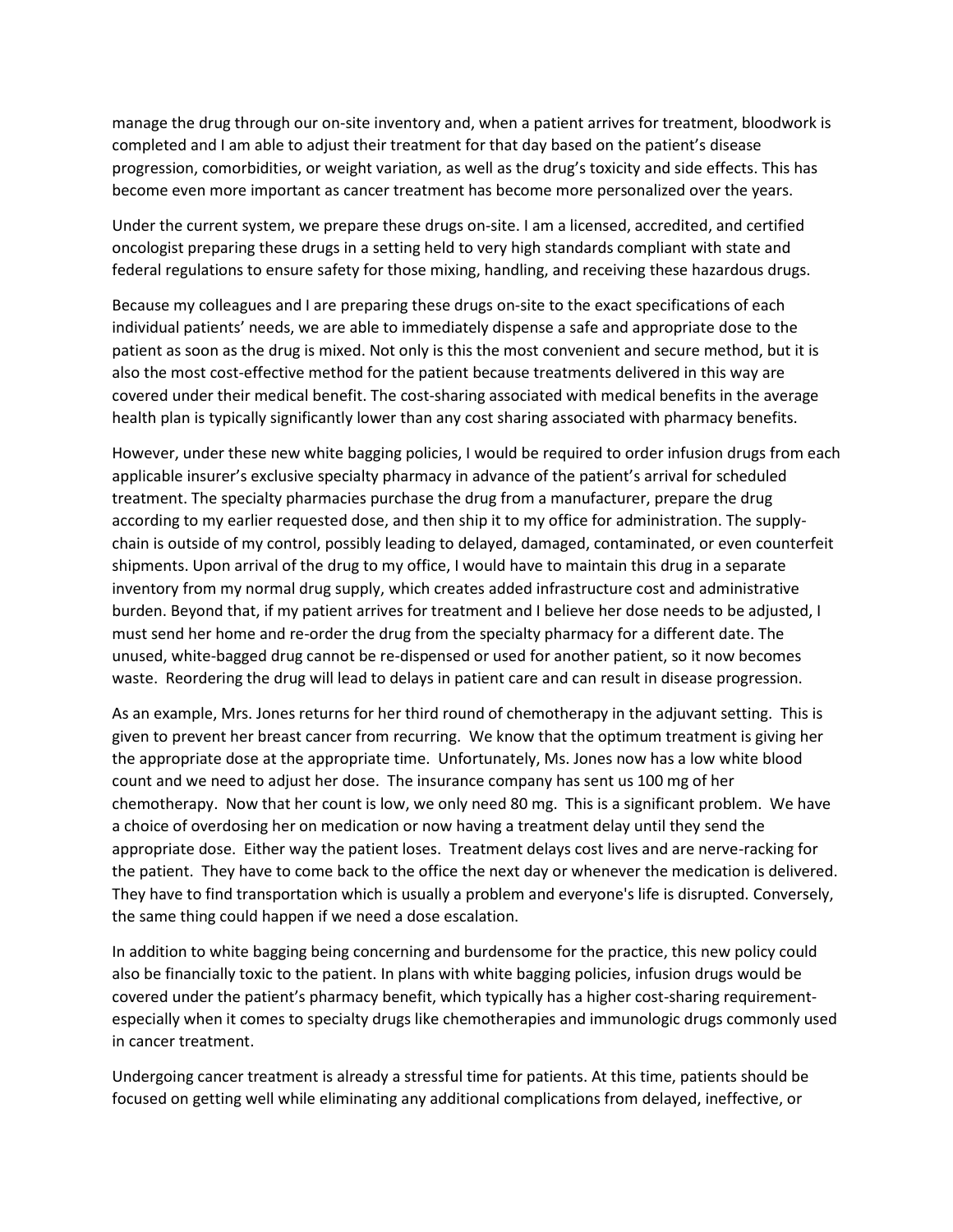manage the drug through our on-site inventory and, when a patient arrives for treatment, bloodwork is completed and I am able to adjust their treatment for that day based on the patient's disease progression, comorbidities, or weight variation, as well as the drug's toxicity and side effects. This has become even more important as cancer treatment has become more personalized over the years.

Under the current system, we prepare these drugs on-site. I am a licensed, accredited, and certified oncologist preparing these drugs in a setting held to very high standards compliant with state and federal regulations to ensure safety for those mixing, handling, and receiving these hazardous drugs.

Because my colleagues and I are preparing these drugs on-site to the exact specifications of each individual patients' needs, we are able to immediately dispense a safe and appropriate dose to the patient as soon as the drug is mixed. Not only is this the most convenient and secure method, but it is also the most cost-effective method for the patient because treatments delivered in this way are covered under their medical benefit. The cost-sharing associated with medical benefits in the average health plan is typically significantly lower than any cost sharing associated with pharmacy benefits.

However, under these new white bagging policies, I would be required to order infusion drugs from each applicable insurer's exclusive specialty pharmacy in advance of the patient's arrival for scheduled treatment. The specialty pharmacies purchase the drug from a manufacturer, prepare the drug according to my earlier requested dose, and then ship it to my office for administration. The supplychain is outside of my control, possibly leading to delayed, damaged, contaminated, or even counterfeit shipments. Upon arrival of the drug to my office, I would have to maintain this drug in a separate inventory from my normal drug supply, which creates added infrastructure cost and administrative burden. Beyond that, if my patient arrives for treatment and I believe her dose needs to be adjusted, I must send her home and re-order the drug from the specialty pharmacy for a different date. The unused, white-bagged drug cannot be re-dispensed or used for another patient, so it now becomes waste. Reordering the drug will lead to delays in patient care and can result in disease progression.

As an example, Mrs. Jones returns for her third round of chemotherapy in the adjuvant setting. This is given to prevent her breast cancer from recurring. We know that the optimum treatment is giving her the appropriate dose at the appropriate time. Unfortunately, Ms. Jones now has a low white blood count and we need to adjust her dose. The insurance company has sent us 100 mg of her chemotherapy. Now that her count is low, we only need 80 mg. This is a significant problem. We have a choice of overdosing her on medication or now having a treatment delay until they send the appropriate dose. Either way the patient loses. Treatment delays cost lives and are nerve-racking for the patient. They have to come back to the office the next day or whenever the medication is delivered. They have to find transportation which is usually a problem and everyone's life is disrupted. Conversely, the same thing could happen if we need a dose escalation.

In addition to white bagging being concerning and burdensome for the practice, this new policy could also be financially toxic to the patient. In plans with white bagging policies, infusion drugs would be covered under the patient's pharmacy benefit, which typically has a higher cost-sharing requirementespecially when it comes to specialty drugs like chemotherapies and immunologic drugs commonly used in cancer treatment.

Undergoing cancer treatment is already a stressful time for patients. At this time, patients should be focused on getting well while eliminating any additional complications from delayed, ineffective, or